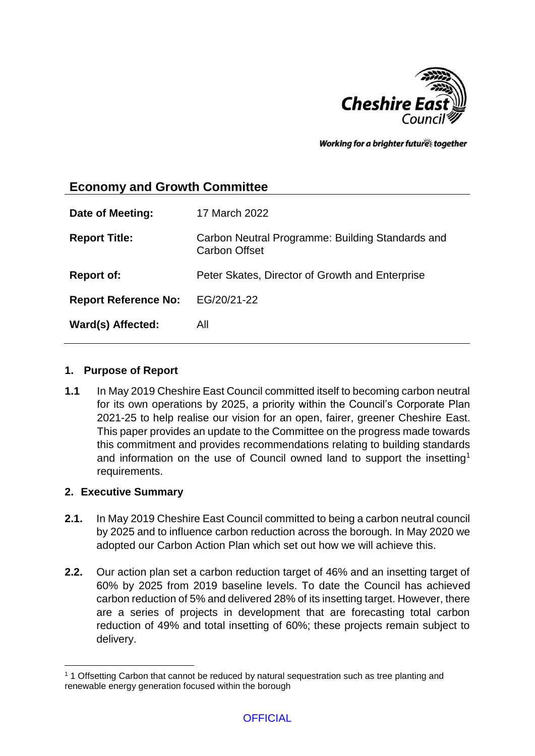

Working for a brighter futures together

# **Economy and Growth Committee**

| Date of Meeting:            | 17 March 2022                                                            |
|-----------------------------|--------------------------------------------------------------------------|
| <b>Report Title:</b>        | Carbon Neutral Programme: Building Standards and<br><b>Carbon Offset</b> |
| <b>Report of:</b>           | Peter Skates, Director of Growth and Enterprise                          |
| <b>Report Reference No:</b> | EG/20/21-22                                                              |
| Ward(s) Affected:           | All                                                                      |

## **1. Purpose of Report**

**1.1** In May 2019 Cheshire East Council committed itself to becoming carbon neutral for its own operations by 2025, a priority within the Council's Corporate Plan 2021-25 to help realise our vision for an open, fairer, greener Cheshire East. This paper provides an update to the Committee on the progress made towards this commitment and provides recommendations relating to building standards and information on the use of Council owned land to support the insetting<sup>1</sup> requirements.

#### **2. Executive Summary**

1

- **2.1.** In May 2019 Cheshire East Council committed to being a carbon neutral council by 2025 and to influence carbon reduction across the borough. In May 2020 we adopted our Carbon Action Plan which set out how we will achieve this.
- **2.2.** Our action plan set a carbon reduction target of 46% and an insetting target of 60% by 2025 from 2019 baseline levels. To date the Council has achieved carbon reduction of 5% and delivered 28% of its insetting target. However, there are a series of projects in development that are forecasting total carbon reduction of 49% and total insetting of 60%; these projects remain subject to delivery.

<sup>1</sup> 1 Offsetting Carbon that cannot be reduced by natural sequestration such as tree planting and renewable energy generation focused within the borough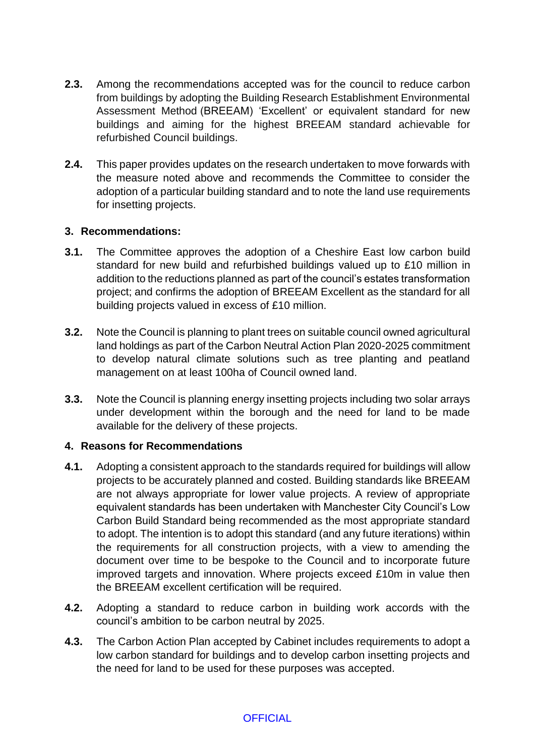- **2.3.** Among the recommendations accepted was for the council to reduce carbon from buildings by adopting the Building Research Establishment Environmental Assessment Method (BREEAM) 'Excellent' or equivalent standard for new buildings and aiming for the highest BREEAM standard achievable for refurbished Council buildings.
- **2.4.** This paper provides updates on the research undertaken to move forwards with the measure noted above and recommends the Committee to consider the adoption of a particular building standard and to note the land use requirements for insetting projects.

#### **3. Recommendations:**

- **3.1.** The Committee approves the adoption of a Cheshire East low carbon build standard for new build and refurbished buildings valued up to £10 million in addition to the reductions planned as part of the council's estates transformation project; and confirms the adoption of BREEAM Excellent as the standard for all building projects valued in excess of £10 million.
- **3.2.** Note the Council is planning to plant trees on suitable council owned agricultural land holdings as part of the Carbon Neutral Action Plan 2020-2025 commitment to develop natural climate solutions such as tree planting and peatland management on at least 100ha of Council owned land.
- **3.3.** Note the Council is planning energy insetting projects including two solar arrays under development within the borough and the need for land to be made available for the delivery of these projects.

#### **4. Reasons for Recommendations**

- **4.1.** Adopting a consistent approach to the standards required for buildings will allow projects to be accurately planned and costed. Building standards like BREEAM are not always appropriate for lower value projects. A review of appropriate equivalent standards has been undertaken with Manchester City Council's Low Carbon Build Standard being recommended as the most appropriate standard to adopt. The intention is to adopt this standard (and any future iterations) within the requirements for all construction projects, with a view to amending the document over time to be bespoke to the Council and to incorporate future improved targets and innovation. Where projects exceed £10m in value then the BREEAM excellent certification will be required.
- **4.2.** Adopting a standard to reduce carbon in building work accords with the council's ambition to be carbon neutral by 2025.
- **4.3.** The Carbon Action Plan accepted by Cabinet includes requirements to adopt a low carbon standard for buildings and to develop carbon insetting projects and the need for land to be used for these purposes was accepted.

#### **OFFICIAL**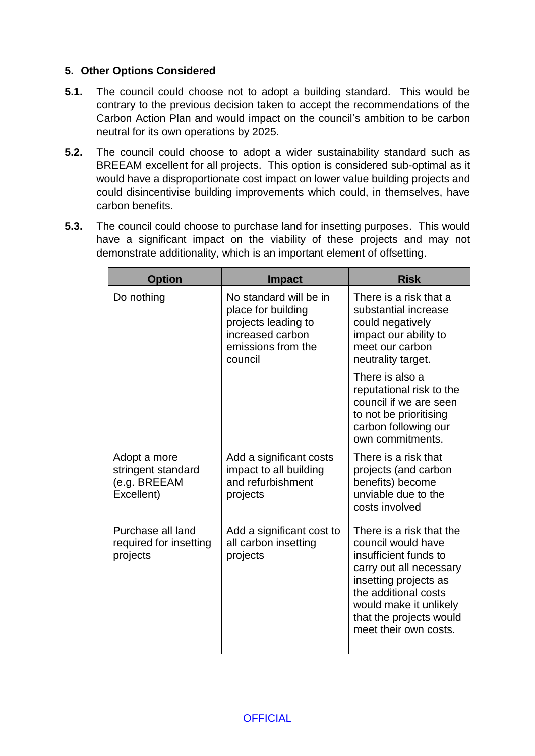# **5. Other Options Considered**

- **5.1.** The council could choose not to adopt a building standard. This would be contrary to the previous decision taken to accept the recommendations of the Carbon Action Plan and would impact on the council's ambition to be carbon neutral for its own operations by 2025.
- **5.2.** The council could choose to adopt a wider sustainability standard such as BREEAM excellent for all projects. This option is considered sub-optimal as it would have a disproportionate cost impact on lower value building projects and could disincentivise building improvements which could, in themselves, have carbon benefits.
- **5.3.** The council could choose to purchase land for insetting purposes. This would have a significant impact on the viability of these projects and may not demonstrate additionality, which is an important element of offsetting.

| <b>Option</b>                                                    | <b>Impact</b>                                                                                                            | <b>Risk</b>                                                                                                                                                                                                                       |
|------------------------------------------------------------------|--------------------------------------------------------------------------------------------------------------------------|-----------------------------------------------------------------------------------------------------------------------------------------------------------------------------------------------------------------------------------|
| Do nothing                                                       | No standard will be in<br>place for building<br>projects leading to<br>increased carbon<br>emissions from the<br>council | There is a risk that a<br>substantial increase<br>could negatively<br>impact our ability to<br>meet our carbon<br>neutrality target.                                                                                              |
|                                                                  |                                                                                                                          | There is also a<br>reputational risk to the<br>council if we are seen<br>to not be prioritising<br>carbon following our<br>own commitments.                                                                                       |
| Adopt a more<br>stringent standard<br>(e.g. BREEAM<br>Excellent) | Add a significant costs<br>impact to all building<br>and refurbishment<br>projects                                       | There is a risk that<br>projects (and carbon<br>benefits) become<br>unviable due to the<br>costs involved                                                                                                                         |
| Purchase all land<br>required for insetting<br>projects          | Add a significant cost to<br>all carbon insetting<br>projects                                                            | There is a risk that the<br>council would have<br>insufficient funds to<br>carry out all necessary<br>insetting projects as<br>the additional costs<br>would make it unlikely<br>that the projects would<br>meet their own costs. |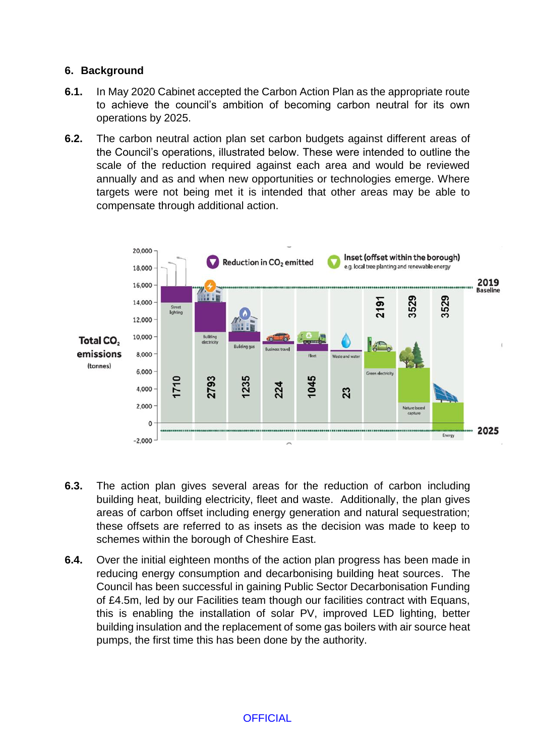### **6. Background**

- **6.1.** In May 2020 Cabinet accepted the Carbon Action Plan as the appropriate route to achieve the council's ambition of becoming carbon neutral for its own operations by 2025.
- **6.2.** The carbon neutral action plan set carbon budgets against different areas of the Council's operations, illustrated below. These were intended to outline the scale of the reduction required against each area and would be reviewed annually and as and when new opportunities or technologies emerge. Where targets were not being met it is intended that other areas may be able to compensate through additional action.



- **6.3.** The action plan gives several areas for the reduction of carbon including building heat, building electricity, fleet and waste. Additionally, the plan gives areas of carbon offset including energy generation and natural sequestration; these offsets are referred to as insets as the decision was made to keep to schemes within the borough of Cheshire East.
- **6.4.** Over the initial eighteen months of the action plan progress has been made in reducing energy consumption and decarbonising building heat sources. The Council has been successful in gaining Public Sector Decarbonisation Funding of £4.5m, led by our Facilities team though our facilities contract with Equans, this is enabling the installation of solar PV, improved LED lighting, better building insulation and the replacement of some gas boilers with air source heat pumps, the first time this has been done by the authority.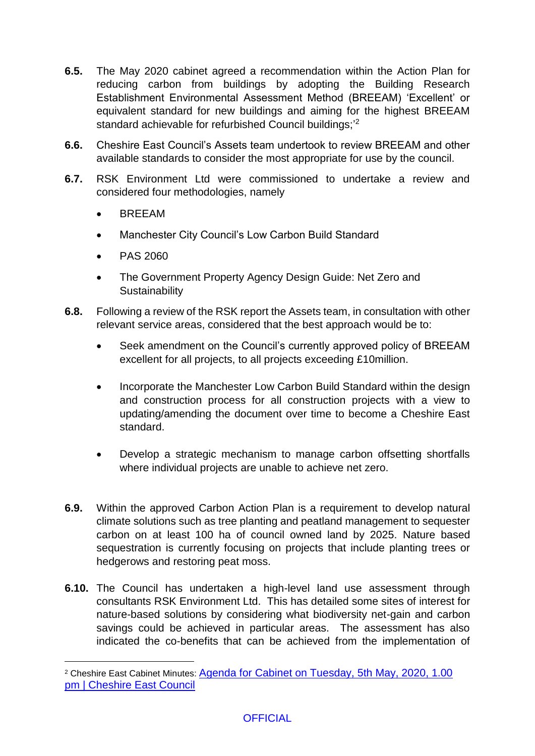- **6.5.** The May 2020 cabinet agreed a recommendation within the Action Plan for reducing carbon from buildings by adopting the Building Research Establishment Environmental Assessment Method (BREEAM) 'Excellent' or equivalent standard for new buildings and aiming for the highest BREEAM standard achievable for refurbished Council buildings;<sup>2</sup>
- **6.6.** Cheshire East Council's Assets team undertook to review BREEAM and other available standards to consider the most appropriate for use by the council.
- **6.7.** RSK Environment Ltd were commissioned to undertake a review and considered four methodologies, namely
	- BREEAM
	- Manchester City Council's Low Carbon Build Standard
	- PAS 2060

1

- The Government Property Agency Design Guide: Net Zero and **Sustainability**
- **6.8.** Following a review of the RSK report the Assets team, in consultation with other relevant service areas, considered that the best approach would be to:
	- Seek amendment on the Council's currently approved policy of BREEAM excellent for all projects, to all projects exceeding £10million.
	- Incorporate the Manchester Low Carbon Build Standard within the design and construction process for all construction projects with a view to updating/amending the document over time to become a Cheshire East standard.
	- Develop a strategic mechanism to manage carbon offsetting shortfalls where individual projects are unable to achieve net zero.
- **6.9.** Within the approved Carbon Action Plan is a requirement to develop natural climate solutions such as tree planting and peatland management to sequester carbon on at least 100 ha of council owned land by 2025. Nature based sequestration is currently focusing on projects that include planting trees or hedgerows and restoring peat moss.
- **6.10.** The Council has undertaken a high-level land use assessment through consultants RSK Environment Ltd. This has detailed some sites of interest for nature-based solutions by considering what biodiversity net-gain and carbon savings could be achieved in particular areas. The assessment has also indicated the co-benefits that can be achieved from the implementation of

<sup>2</sup> Cheshire East Cabinet Minutes: [Agenda for Cabinet on Tuesday, 5th May, 2020, 1.00](http://moderngov.cheshireeast.gov.uk/ecminutes/ieListDocuments.aspx?CId=241&MId=7467)  [pm | Cheshire East Council](http://moderngov.cheshireeast.gov.uk/ecminutes/ieListDocuments.aspx?CId=241&MId=7467)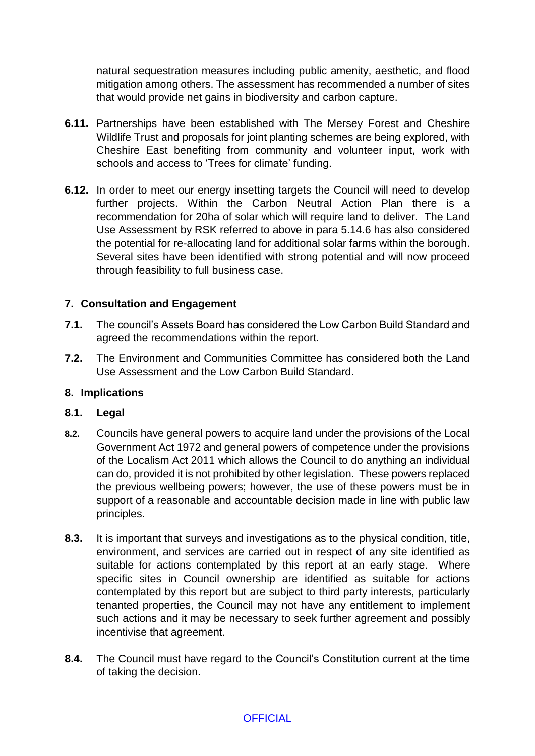natural sequestration measures including public amenity, aesthetic, and flood mitigation among others. The assessment has recommended a number of sites that would provide net gains in biodiversity and carbon capture.

- **6.11.** Partnerships have been established with The Mersey Forest and Cheshire Wildlife Trust and proposals for joint planting schemes are being explored, with Cheshire East benefiting from community and volunteer input, work with schools and access to 'Trees for climate' funding.
- **6.12.** In order to meet our energy insetting targets the Council will need to develop further projects. Within the Carbon Neutral Action Plan there is a recommendation for 20ha of solar which will require land to deliver. The Land Use Assessment by RSK referred to above in para 5.14.6 has also considered the potential for re-allocating land for additional solar farms within the borough. Several sites have been identified with strong potential and will now proceed through feasibility to full business case.

# **7. Consultation and Engagement**

- **7.1.** The council's Assets Board has considered the Low Carbon Build Standard and agreed the recommendations within the report.
- **7.2.** The Environment and Communities Committee has considered both the Land Use Assessment and the Low Carbon Build Standard.

#### **8. Implications**

#### **8.1. Legal**

- **8.2.** Councils have general powers to acquire land under the provisions of the Local Government Act 1972 and general powers of competence under the provisions of the Localism Act 2011 which allows the Council to do anything an individual can do, provided it is not prohibited by other legislation. These powers replaced the previous wellbeing powers; however, the use of these powers must be in support of a reasonable and accountable decision made in line with public law principles.
- **8.3.** It is important that surveys and investigations as to the physical condition, title, environment, and services are carried out in respect of any site identified as suitable for actions contemplated by this report at an early stage. Where specific sites in Council ownership are identified as suitable for actions contemplated by this report but are subject to third party interests, particularly tenanted properties, the Council may not have any entitlement to implement such actions and it may be necessary to seek further agreement and possibly incentivise that agreement.
- **8.4.** The Council must have regard to the Council's Constitution current at the time of taking the decision.

#### **OFFICIAL**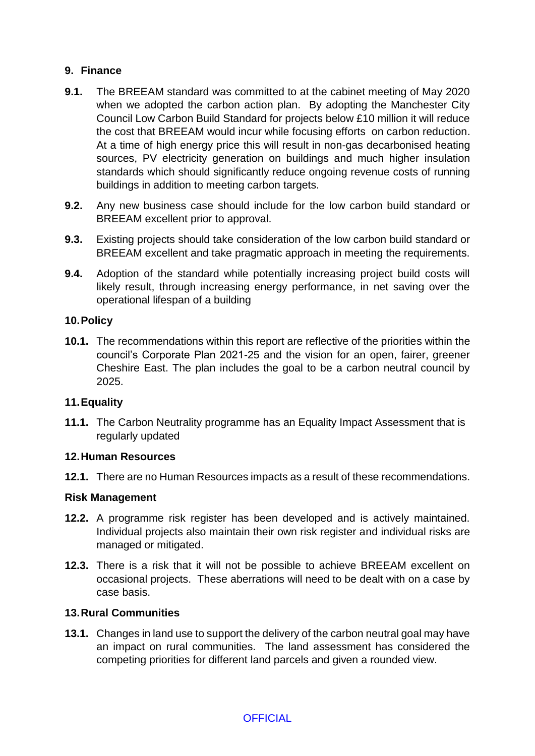# **9. Finance**

- **9.1.** The BREEAM standard was committed to at the cabinet meeting of May 2020 when we adopted the carbon action plan. By adopting the Manchester City Council Low Carbon Build Standard for projects below £10 million it will reduce the cost that BREEAM would incur while focusing efforts on carbon reduction. At a time of high energy price this will result in non-gas decarbonised heating sources, PV electricity generation on buildings and much higher insulation standards which should significantly reduce ongoing revenue costs of running buildings in addition to meeting carbon targets.
- **9.2.** Any new business case should include for the low carbon build standard or BREEAM excellent prior to approval.
- **9.3.** Existing projects should take consideration of the low carbon build standard or BREEAM excellent and take pragmatic approach in meeting the requirements.
- **9.4.** Adoption of the standard while potentially increasing project build costs will likely result, through increasing energy performance, in net saving over the operational lifespan of a building

#### **10.Policy**

**10.1.** The recommendations within this report are reflective of the priorities within the council's Corporate Plan 2021-25 and the vision for an open, fairer, greener Cheshire East. The plan includes the goal to be a carbon neutral council by 2025.

#### **11.Equality**

**11.1.** The Carbon Neutrality programme has an Equality Impact Assessment that is regularly updated

#### **12.Human Resources**

**12.1.** There are no Human Resources impacts as a result of these recommendations.

#### **Risk Management**

- **12.2.** A programme risk register has been developed and is actively maintained. Individual projects also maintain their own risk register and individual risks are managed or mitigated.
- **12.3.** There is a risk that it will not be possible to achieve BREEAM excellent on occasional projects. These aberrations will need to be dealt with on a case by case basis.

#### **13.Rural Communities**

**13.1.** Changes in land use to support the delivery of the carbon neutral goal may have an impact on rural communities. The land assessment has considered the competing priorities for different land parcels and given a rounded view.